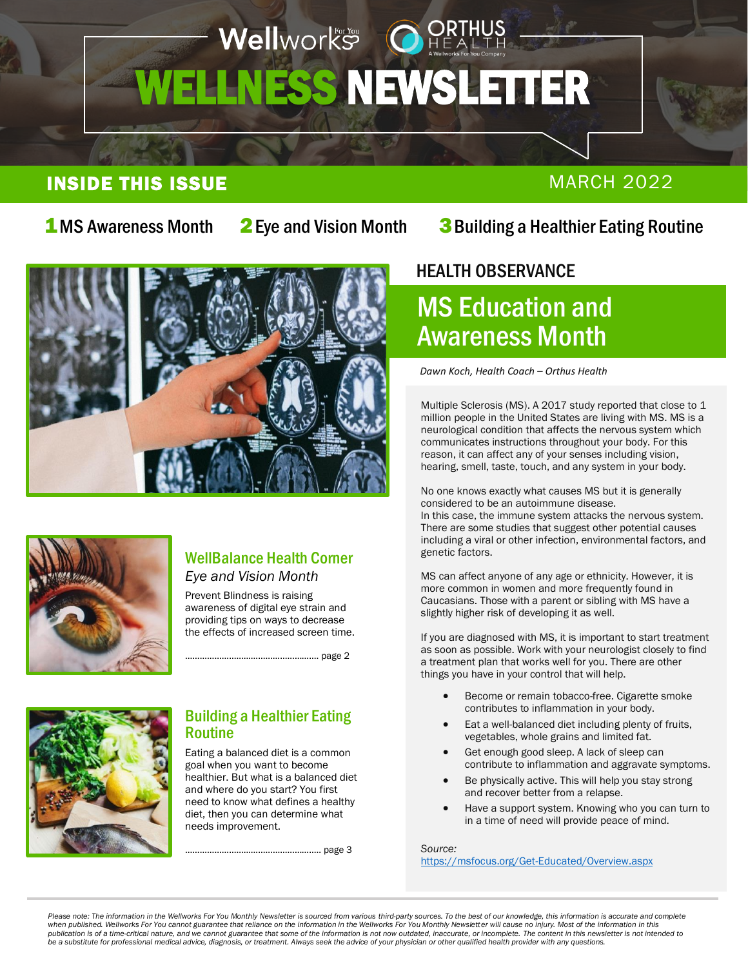## Wellworks OHE WELLNESS NEWSLETTER i ľ

## INSIDE THIS ISSUE MARCH 2022

2[Eye and Vision Month](#page-1-0)

## 1 MS Awareness Month 2 Eye and Vision Month 3 [Building a Healthier Eating Routine](#page-2-0)





### WellBalance Health Corner *Eye and Vision Month*

Prevent Blindness is raising awareness of digital eye strain and providing tips on ways to decrease the effects of increased screen time.

………………………………………………. page 2



### Building a Healthier Eating Routine

Eating a balanced diet is a common goal when you want to become healthier. But what is a balanced diet and where do you start? You first need to know what defines a healthy diet, then you can determine what needs improvement.

……………………………………………….. page 3

## HEALTH OBSERVANCE  $\overline{\phantom{a}}$

## MS Education and Awareness Month

*Dawn Koch, Health Coach – Orthus Health*

Multiple Sclerosis (MS). A 2017 study reported that close to 1 million people in the United States are living with MS. MS is a neurological condition that affects the nervous system which communicates instructions throughout your body. For this reason, it can affect any of your senses including vision, hearing, smell, taste, touch, and any system in your body.

No one knows exactly what causes MS but it is generally considered to be an autoimmune disease. In this case, the immune system attacks the nervous system. There are some studies that suggest other potential causes including a viral or other infection, environmental factors, and genetic factors.

MS can affect anyone of any age or ethnicity. However, it is more common in women and more frequently found in Caucasians. Those with a parent or sibling with MS have a slightly higher risk of developing it as well.

If you are diagnosed with MS, it is important to start treatment as soon as possible. Work with your neurologist closely to find a treatment plan that works well for you. There are other things you have in your control that will help.

- Become or remain tobacco-free. Cigarette smoke contributes to inflammation in your body.
- Eat a well-balanced diet including plenty of fruits, vegetables, whole grains and limited fat.
- Get enough good sleep. A lack of sleep can contribute to inflammation and aggravate symptoms.
- Be physically active. This will help you stay strong and recover better from a relapse.
- Have a support system. Knowing who you can turn to in a time of need will provide peace of mind.

*Source:*

<https://msfocus.org/Get-Educated/Overview.aspx>

Please note: The information in the Wellworks For You Monthly Newsletter is sourced from various third-party sources. To the best of our knowledge, this information is accurate and complete *when published. Wellworks For You cannot guarantee that reliance on the information in the Wellworks For You Monthly Newsletter will cause no injury. Most of the information in this publication is of a time-critical nature, and we cannot guarantee that some of the information is not now outdated, inaccurate, or incomplete. The content in this newsletter is not intended to be a substitute for professional medical advice, diagnosis, or treatment. Always seek the advice of your physician or other qualified health provider with any questions.*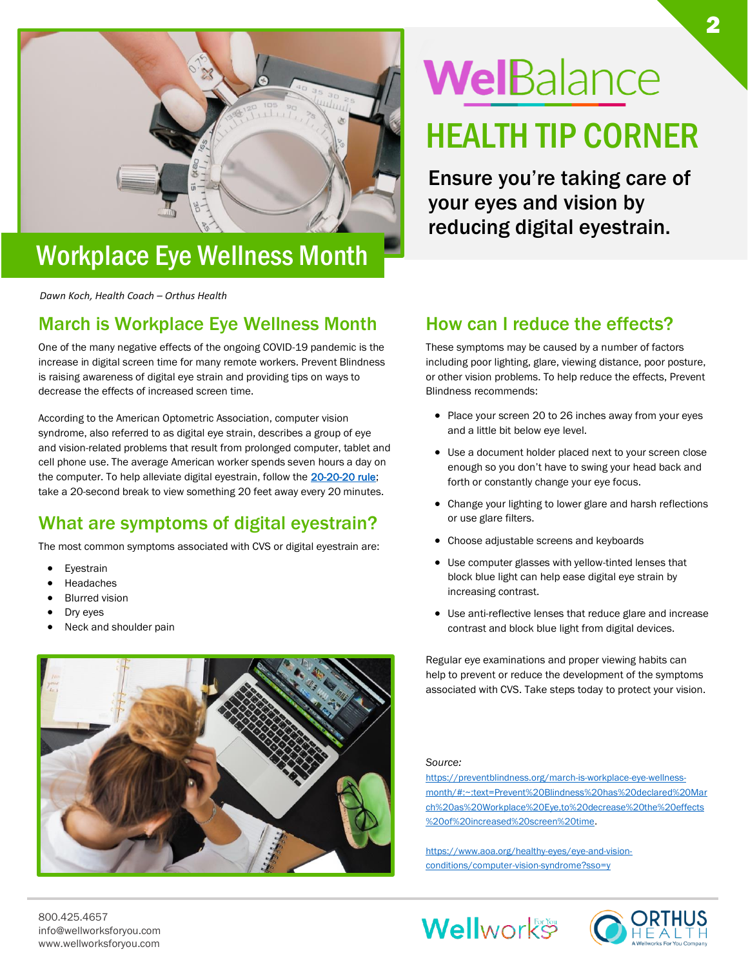<span id="page-1-0"></span>

## Workplace Eye Wellness Month

*Dawn Koch, Health Coach – Orthus Health*

## March is Workplace Eye Wellness Month

One of the many negative effects of the ongoing COVID-19 pandemic is the increase in digital screen time for many remote workers. Prevent Blindness is raising awareness of digital eye strain and providing tips on ways to decrease the effects of increased screen time.

According to the American Optometric Association, computer vision syndrome, also referred to as digital eye strain, describes a group of eye and vision-related problems that result from prolonged computer, tablet and cell phone use. The average American worker spends seven hours a day on the computer. To help alleviate digital eyestrain, follow the [20-20-20 rule;](https://www.aoa.org/AOA/Images/Patients/Eye%20Conditions/20-20-20-rule.pdf) take a 20-second break to view something 20 feet away every 20 minutes.

## What are symptoms of digital eyestrain?

The most common symptoms associated with CVS or digital eyestrain are:

- **Eyestrain**
- **Headaches**
- **Blurred vision**
- Dry eyes
- Neck and shoulder pain



# WelBalance

## HEALTH TIP CORNER

Ensure you're taking care of your eyes and vision by reducing digital eyestrain.

### How can I reduce the effects?

These symptoms may be caused by a number of factors including poor lighting, glare, viewing distance, poor posture, or other vision problems. To help reduce the effects, Prevent Blindness recommends:

- Place your screen 20 to 26 inches away from your eyes and a little bit below eye level.
- Use a document holder placed next to your screen close enough so you don't have to swing your head back and forth or constantly change your eye focus.
- Change your lighting to lower glare and harsh reflections or use glare filters.
- Choose adjustable screens and keyboards
- Use computer glasses with yellow-tinted lenses that block blue light can help ease digital eye strain by increasing contrast.
- Use anti-reflective lenses that reduce glare and increase contrast and block blue light from digital devices.

Regular eye examinations and proper viewing habits can help to prevent or reduce the development of the symptoms associated with CVS. Take steps today to protect your vision.

#### *Source:*

[https://preventblindness.org/march-is-workplace-eye-wellness](https://preventblindness.org/march-is-workplace-eye-wellness-month/#:~:text=Prevent%20Blindness%20has%20declared%20March%20as%20Workplace%20Eye,to%20decrease%20the%20effects%20of%20increased%20screen%20time)[month/#:~:text=Prevent%20Blindness%20has%20declared%20Mar](https://preventblindness.org/march-is-workplace-eye-wellness-month/#:~:text=Prevent%20Blindness%20has%20declared%20March%20as%20Workplace%20Eye,to%20decrease%20the%20effects%20of%20increased%20screen%20time) [ch%20as%20Workplace%20Eye,to%20decrease%20the%20effects](https://preventblindness.org/march-is-workplace-eye-wellness-month/#:~:text=Prevent%20Blindness%20has%20declared%20March%20as%20Workplace%20Eye,to%20decrease%20the%20effects%20of%20increased%20screen%20time) [%20of%20increased%20screen%20time.](https://preventblindness.org/march-is-workplace-eye-wellness-month/#:~:text=Prevent%20Blindness%20has%20declared%20March%20as%20Workplace%20Eye,to%20decrease%20the%20effects%20of%20increased%20screen%20time)

[https://www.aoa.org/healthy-eyes/eye-and-vision](https://www.aoa.org/healthy-eyes/eye-and-vision-conditions/computer-vision-syndrome?sso=y)[conditions/computer-vision-syndrome?sso=y](https://www.aoa.org/healthy-eyes/eye-and-vision-conditions/computer-vision-syndrome?sso=y)

**Wellworks** 

800.425.4657 info@wellworksforyou.com www.wellworksforyou.com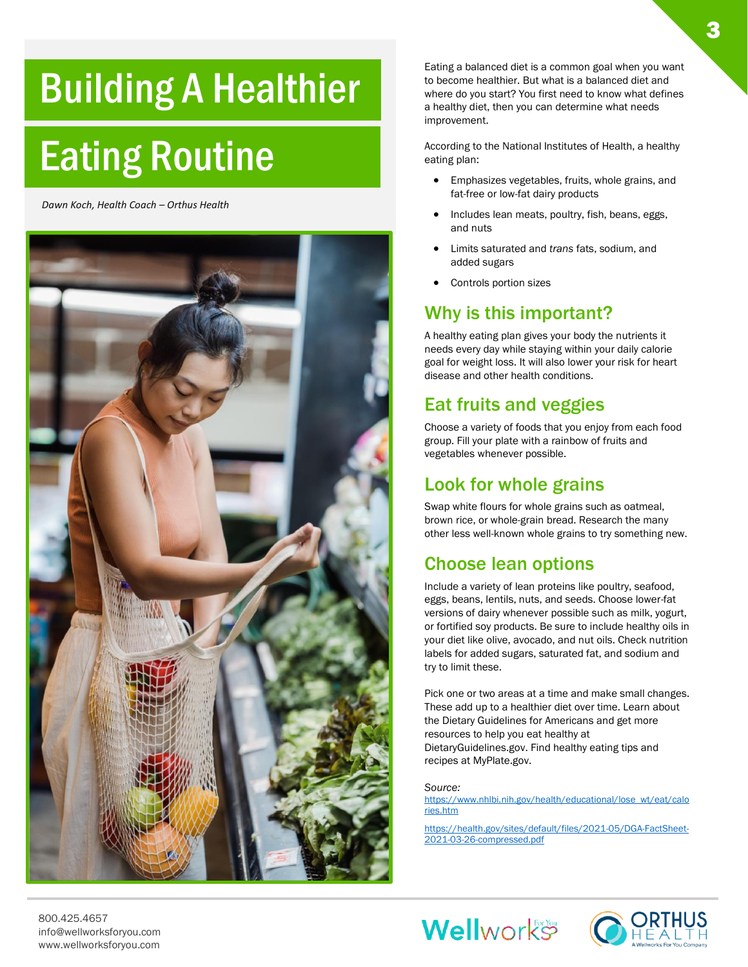## <span id="page-2-0"></span>Building A Healthier

## Eating Routine

*Dawn Koch, Health Coach – Orthus Health*



Eating a balanced diet is a common goal when you want to become healthier. But what is a balanced diet and where do you start? You first need to know what defines a healthy diet, then you can determine what needs improvement.

According to the National Institutes of Health, a healthy eating plan:

- Emphasizes vegetables, fruits, whole grains, and fat-free or low-fat dairy products
- Includes lean meats, poultry, fish, beans, eggs, and nuts
- Limits saturated and *trans* fats, sodium, and added sugars
- Controls portion sizes

## Why is this important?

A healthy eating plan gives your body the nutrients it needs every day while staying within your daily calorie goal for weight loss. It will also lower your risk for heart disease and other health conditions.

## Eat fruits and veggies

Choose a variety of foods that you enjoy from each food group. Fill your plate with a rainbow of fruits and vegetables whenever possible.

## Look for whole grains

Swap white flours for whole grains such as oatmeal, brown rice, or whole-grain bread. Research the many other less well-known whole grains to try something new.

## Choose lean options

Include a variety of lean proteins like poultry, seafood, eggs, beans, lentils, nuts, and seeds. Choose lower-fat versions of dairy whenever possible such as milk, yogurt, or fortified soy products. Be sure to include healthy oils in your diet like olive, avocado, and nut oils. Check nutrition labels for added sugars, saturated fat, and sodium and try to limit these.

Pick one or two areas at a time and make small changes. These add up to a healthier diet over time. Learn about the Dietary Guidelines for Americans and get more resources to help you eat healthy at DietaryGuidelines.gov. Find healthy eating tips and recipes at MyPlate.gov.

*Source:*

[https://www.nhlbi.nih.gov/health/educational/lose\\_wt/eat/calo](https://www.nhlbi.nih.gov/health/educational/lose_wt/eat/calories.htm) [ries.htm](https://www.nhlbi.nih.gov/health/educational/lose_wt/eat/calories.htm)

[https://health.gov/sites/default/files/2021-05/DGA-FactSheet-](https://health.gov/sites/default/files/2021-05/DGA-FactSheet-2021-03-26-compressed.pdf)[2021-03-26-compressed.pdf](https://health.gov/sites/default/files/2021-05/DGA-FactSheet-2021-03-26-compressed.pdf)



3

800.425.4657 info@wellworksforyou.com www.wellworksforyou.com